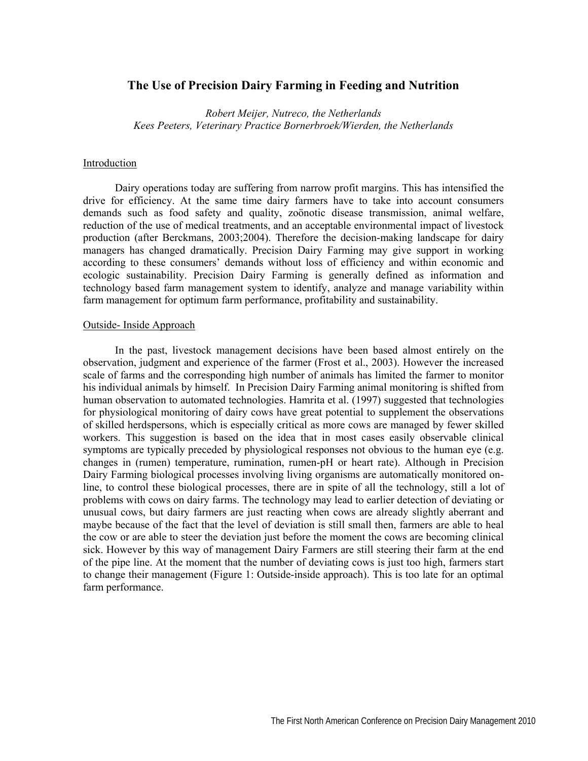# **The Use of Precision Dairy Farming in Feeding and Nutrition**

*Robert Meijer, Nutreco, the Netherlands Kees Peeters, Veterinary Practice Bornerbroek/Wierden, the Netherlands* 

#### Introduction

Dairy operations today are suffering from narrow profit margins. This has intensified the drive for efficiency. At the same time dairy farmers have to take into account consumers demands such as food safety and quality, zoönotic disease transmission, animal welfare, reduction of the use of medical treatments, and an acceptable environmental impact of livestock production (after Berckmans, 2003;2004). Therefore the decision-making landscape for dairy managers has changed dramatically. Precision Dairy Farming may give support in working according to these consumers' demands without loss of efficiency and within economic and ecologic sustainability. Precision Dairy Farming is generally defined as information and technology based farm management system to identify, analyze and manage variability within farm management for optimum farm performance, profitability and sustainability.

#### Outside- Inside Approach

In the past, livestock management decisions have been based almost entirely on the observation, judgment and experience of the farmer (Frost et al., 2003). However the increased scale of farms and the corresponding high number of animals has limited the farmer to monitor his individual animals by himself. In Precision Dairy Farming animal monitoring is shifted from human observation to automated technologies. Hamrita et al. (1997) suggested that technologies for physiological monitoring of dairy cows have great potential to supplement the observations of skilled herdspersons, which is especially critical as more cows are managed by fewer skilled workers. This suggestion is based on the idea that in most cases easily observable clinical symptoms are typically preceded by physiological responses not obvious to the human eye (e.g. changes in (rumen) temperature, rumination, rumen-pH or heart rate). Although in Precision Dairy Farming biological processes involving living organisms are automatically monitored online, to control these biological processes, there are in spite of all the technology, still a lot of problems with cows on dairy farms. The technology may lead to earlier detection of deviating or unusual cows, but dairy farmers are just reacting when cows are already slightly aberrant and maybe because of the fact that the level of deviation is still small then, farmers are able to heal the cow or are able to steer the deviation just before the moment the cows are becoming clinical sick. However by this way of management Dairy Farmers are still steering their farm at the end of the pipe line. At the moment that the number of deviating cows is just too high, farmers start to change their management (Figure 1: Outside-inside approach). This is too late for an optimal farm performance.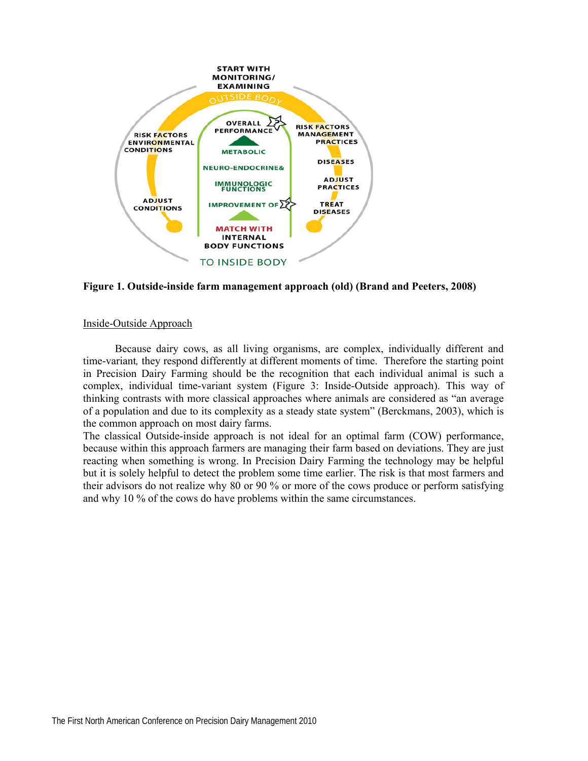

**Figure 1. Outside-inside farm management approach (old) (Brand and Peeters, 2008)** 

## Inside-Outside Approach

Because dairy cows, as all living organisms, are complex, individually different and time-variant, they respond differently at different moments of time. Therefore the starting point in Precision Dairy Farming should be the recognition that each individual animal is such a complex, individual time-variant system (Figure 3: Inside-Outside approach). This way of thinking contrasts with more classical approaches where animals are considered as "an average of a population and due to its complexity as a steady state system" (Berckmans, 2003), which is the common approach on most dairy farms.

The classical Outside-inside approach is not ideal for an optimal farm (COW) performance, because within this approach farmers are managing their farm based on deviations. They are just reacting when something is wrong. In Precision Dairy Farming the technology may be helpful but it is solely helpful to detect the problem some time earlier. The risk is that most farmers and their advisors do not realize why 80 or 90 % or more of the cows produce or perform satisfying and why 10 % of the cows do have problems within the same circumstances.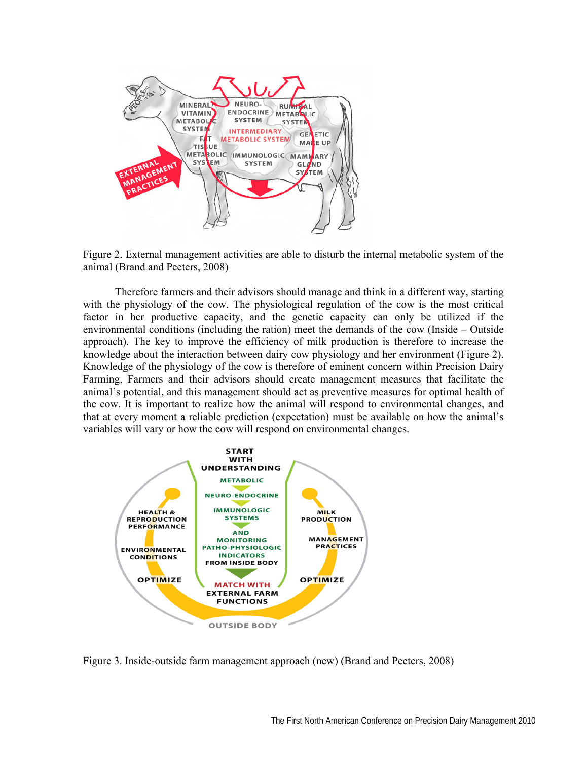

Figure 2. External management activities are able to disturb the internal metabolic system of the animal (Brand and Peeters, 2008)

Therefore farmers and their advisors should manage and think in a different way, starting with the physiology of the cow. The physiological regulation of the cow is the most critical factor in her productive capacity, and the genetic capacity can only be utilized if the environmental conditions (including the ration) meet the demands of the cow (Inside – Outside approach). The key to improve the efficiency of milk production is therefore to increase the knowledge about the interaction between dairy cow physiology and her environment (Figure 2). Knowledge of the physiology of the cow is therefore of eminent concern within Precision Dairy Farming. Farmers and their advisors should create management measures that facilitate the animal's potential, and this management should act as preventive measures for optimal health of the cow. It is important to realize how the animal will respond to environmental changes, and that at every moment a reliable prediction (expectation) must be available on how the animal's variables will vary or how the cow will respond on environmental changes.



Figure 3. Inside-outside farm management approach (new) (Brand and Peeters, 2008)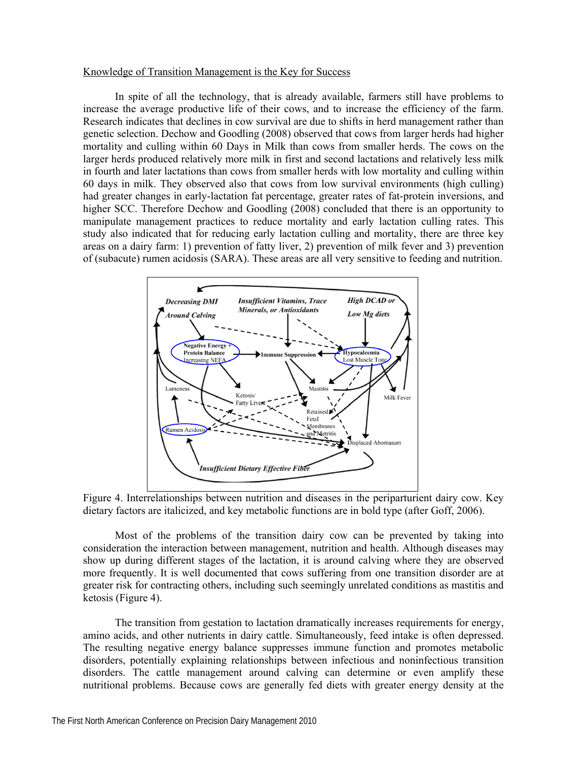#### Knowledge of Transition Management is the Key for Success

In spite of all the technology, that is already available, farmers still have problems to increase the average productive life of their cows, and to increase the efficiency of the farm. Research indicates that declines in cow survival are due to shifts in herd management rather than genetic selection. Dechow and Goodling (2008) observed that cows from larger herds had higher mortality and culling within 60 Days in Milk than cows from smaller herds. The cows on the larger herds produced relatively more milk in first and second lactations and relatively less milk in fourth and later lactations than cows from smaller herds with low mortality and culling within 60 days in milk. They observed also that cows from low survival environments (high culling) had greater changes in early-lactation fat percentage, greater rates of fat-protein inversions, and higher SCC. Therefore Dechow and Goodling (2008) concluded that there is an opportunity to manipulate management practices to reduce mortality and early lactation culling rates. This study also indicated that for reducing early lactation culling and mortality, there are three key areas on a dairy farm: 1) prevention of fatty liver, 2) prevention of milk fever and 3) prevention of (subacute) rumen acidosis (SARA). These areas are all very sensitive to feeding and nutrition.



Figure 4. Interrelationships between nutrition and diseases in the periparturient dairy cow. Key dietary factors are italicized, and key metabolic functions are in bold type (after Goff, 2006).

Most of the problems of the transition dairy cow can be prevented by taking into consideration the interaction between management, nutrition and health. Although diseases may show up during different stages of the lactation, it is around calving where they are observed more frequently. It is well documented that cows suffering from one transition disorder are at greater risk for contracting others, including such seemingly unrelated conditions as mastitis and ketosis (Figure 4).

The transition from gestation to lactation dramatically increases requirements for energy, amino acids, and other nutrients in dairy cattle. Simultaneously, feed intake is often depressed. The resulting negative energy balance suppresses immune function and promotes metabolic disorders, potentially explaining relationships between infectious and noninfectious transition disorders. The cattle management around calving can determine or even amplify these nutritional problems. Because cows are generally fed diets with greater energy density at the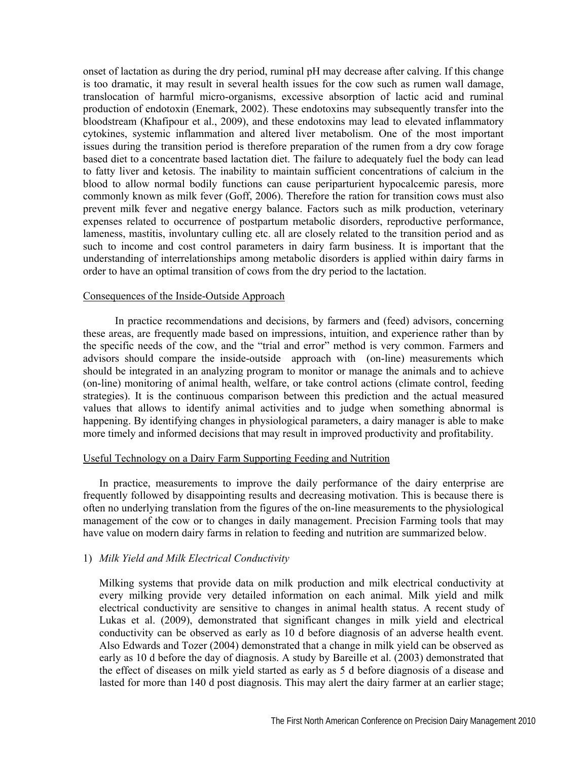onset of lactation as during the dry period, ruminal pH may decrease after calving. If this change is too dramatic, it may result in several health issues for the cow such as rumen wall damage, translocation of harmful micro-organisms, excessive absorption of lactic acid and ruminal production of endotoxin (Enemark, 2002). These endotoxins may subsequently transfer into the bloodstream (Khafipour et al., 2009), and these endotoxins may lead to elevated inflammatory cytokines, systemic inflammation and altered liver metabolism. One of the most important issues during the transition period is therefore preparation of the rumen from a dry cow forage based diet to a concentrate based lactation diet. The failure to adequately fuel the body can lead to fatty liver and ketosis. The inability to maintain sufficient concentrations of calcium in the blood to allow normal bodily functions can cause periparturient hypocalcemic paresis, more commonly known as milk fever (Goff, 2006). Therefore the ration for transition cows must also prevent milk fever and negative energy balance. Factors such as milk production, veterinary expenses related to occurrence of postpartum metabolic disorders, reproductive performance, lameness, mastitis, involuntary culling etc. all are closely related to the transition period and as such to income and cost control parameters in dairy farm business. It is important that the understanding of interrelationships among metabolic disorders is applied within dairy farms in order to have an optimal transition of cows from the dry period to the lactation.

### Consequences of the Inside-Outside Approach

In practice recommendations and decisions, by farmers and (feed) advisors, concerning these areas, are frequently made based on impressions, intuition, and experience rather than by the specific needs of the cow, and the "trial and error" method is very common. Farmers and advisors should compare the inside-outside approach with (on-line) measurements which should be integrated in an analyzing program to monitor or manage the animals and to achieve (on-line) monitoring of animal health, welfare, or take control actions (climate control, feeding strategies). It is the continuous comparison between this prediction and the actual measured values that allows to identify animal activities and to judge when something abnormal is happening. By identifying changes in physiological parameters, a dairy manager is able to make more timely and informed decisions that may result in improved productivity and profitability.

# Useful Technology on a Dairy Farm Supporting Feeding and Nutrition

In practice, measurements to improve the daily performance of the dairy enterprise are frequently followed by disappointing results and decreasing motivation. This is because there is often no underlying translation from the figures of the on-line measurements to the physiological management of the cow or to changes in daily management. Precision Farming tools that may have value on modern dairy farms in relation to feeding and nutrition are summarized below.

# 1) *Milk Yield and Milk Electrical Conductivity*

Milking systems that provide data on milk production and milk electrical conductivity at every milking provide very detailed information on each animal. Milk yield and milk electrical conductivity are sensitive to changes in animal health status. A recent study of Lukas et al. (2009), demonstrated that significant changes in milk yield and electrical conductivity can be observed as early as 10 d before diagnosis of an adverse health event. Also Edwards and Tozer (2004) demonstrated that a change in milk yield can be observed as early as 10 d before the day of diagnosis. A study by Bareille et al. (2003) demonstrated that the effect of diseases on milk yield started as early as 5 d before diagnosis of a disease and lasted for more than 140 d post diagnosis. This may alert the dairy farmer at an earlier stage;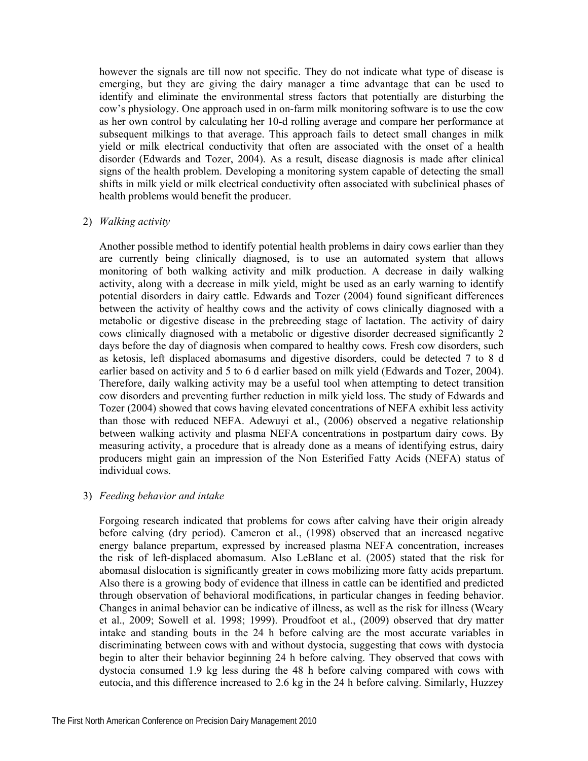however the signals are till now not specific. They do not indicate what type of disease is emerging, but they are giving the dairy manager a time advantage that can be used to identify and eliminate the environmental stress factors that potentially are disturbing the cow's physiology. One approach used in on-farm milk monitoring software is to use the cow as her own control by calculating her 10-d rolling average and compare her performance at subsequent milkings to that average. This approach fails to detect small changes in milk yield or milk electrical conductivity that often are associated with the onset of a health disorder (Edwards and Tozer, 2004). As a result, disease diagnosis is made after clinical signs of the health problem. Developing a monitoring system capable of detecting the small shifts in milk yield or milk electrical conductivity often associated with subclinical phases of health problems would benefit the producer.

# 2) *Walking activity*

Another possible method to identify potential health problems in dairy cows earlier than they are currently being clinically diagnosed, is to use an automated system that allows monitoring of both walking activity and milk production. A decrease in daily walking activity, along with a decrease in milk yield, might be used as an early warning to identify potential disorders in dairy cattle. Edwards and Tozer (2004) found significant differences between the activity of healthy cows and the activity of cows clinically diagnosed with a metabolic or digestive disease in the prebreeding stage of lactation. The activity of dairy cows clinically diagnosed with a metabolic or digestive disorder decreased significantly 2 days before the day of diagnosis when compared to healthy cows. Fresh cow disorders, such as ketosis, left displaced abomasums and digestive disorders, could be detected 7 to 8 d earlier based on activity and 5 to 6 d earlier based on milk yield (Edwards and Tozer, 2004). Therefore, daily walking activity may be a useful tool when attempting to detect transition cow disorders and preventing further reduction in milk yield loss. The study of Edwards and Tozer (2004) showed that cows having elevated concentrations of NEFA exhibit less activity than those with reduced NEFA. Adewuyi et al., (2006) observed a negative relationship between walking activity and plasma NEFA concentrations in postpartum dairy cows. By measuring activity, a procedure that is already done as a means of identifying estrus, dairy producers might gain an impression of the Non Esterified Fatty Acids (NEFA) status of individual cows.

# 3) *Feeding behavior and intake*

Forgoing research indicated that problems for cows after calving have their origin already before calving (dry period). Cameron et al., (1998) observed that an increased negative energy balance prepartum, expressed by increased plasma NEFA concentration, increases the risk of left-displaced abomasum. Also LeBlanc et al. (2005) stated that the risk for abomasal dislocation is significantly greater in cows mobilizing more fatty acids prepartum. Also there is a growing body of evidence that illness in cattle can be identified and predicted through observation of behavioral modifications, in particular changes in feeding behavior. Changes in animal behavior can be indicative of illness, as well as the risk for illness (Weary et al., 2009; Sowell et al. 1998; 1999). Proudfoot et al., (2009) observed that dry matter intake and standing bouts in the 24 h before calving are the most accurate variables in discriminating between cows with and without dystocia, suggesting that cows with dystocia begin to alter their behavior beginning 24 h before calving. They observed that cows with dystocia consumed 1.9 kg less during the 48 h before calving compared with cows with eutocia, and this difference increased to 2.6 kg in the 24 h before calving. Similarly, Huzzey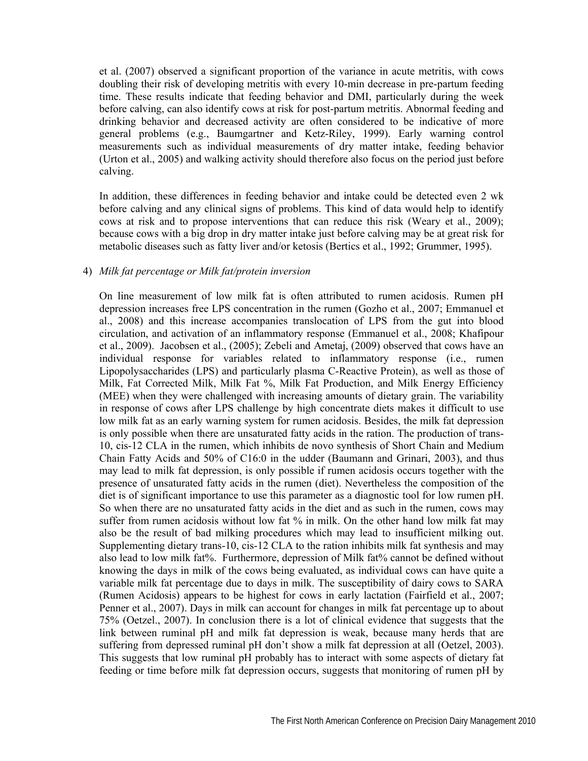et al. (2007) observed a significant proportion of the variance in acute metritis, with cows doubling their risk of developing metritis with every 10-min decrease in pre-partum feeding time. These results indicate that feeding behavior and DMI, particularly during the week before calving, can also identify cows at risk for post-partum metritis. Abnormal feeding and drinking behavior and decreased activity are often considered to be indicative of more general problems (e.g., Baumgartner and Ketz-Riley, 1999). Early warning control measurements such as individual measurements of dry matter intake, feeding behavior (Urton et al., 2005) and walking activity should therefore also focus on the period just before calving.

In addition, these differences in feeding behavior and intake could be detected even 2 wk before calving and any clinical signs of problems. This kind of data would help to identify cows at risk and to propose interventions that can reduce this risk (Weary et al., 2009); because cows with a big drop in dry matter intake just before calving may be at great risk for metabolic diseases such as fatty liver and/or ketosis (Bertics et al., 1992; Grummer, 1995).

## 4) *Milk fat percentage or Milk fat/protein inversion*

On line measurement of low milk fat is often attributed to rumen acidosis. Rumen pH depression increases free LPS concentration in the rumen (Gozho et al., 2007; Emmanuel et al., 2008) and this increase accompanies translocation of LPS from the gut into blood circulation, and activation of an inflammatory response (Emmanuel et al., 2008; Khafipour et al., 2009). Jacobsen et al., (2005); Zebeli and Ametaj, (2009) observed that cows have an individual response for variables related to inflammatory response (i.e., rumen Lipopolysaccharides (LPS) and particularly plasma C-Reactive Protein), as well as those of Milk, Fat Corrected Milk, Milk Fat %, Milk Fat Production, and Milk Energy Efficiency (MEE) when they were challenged with increasing amounts of dietary grain. The variability in response of cows after LPS challenge by high concentrate diets makes it difficult to use low milk fat as an early warning system for rumen acidosis. Besides, the milk fat depression is only possible when there are unsaturated fatty acids in the ration. The production of trans-10, cis-12 CLA in the rumen, which inhibits de novo synthesis of Short Chain and Medium Chain Fatty Acids and 50% of C16:0 in the udder (Baumann and Grinari, 2003), and thus may lead to milk fat depression, is only possible if rumen acidosis occurs together with the presence of unsaturated fatty acids in the rumen (diet). Nevertheless the composition of the diet is of significant importance to use this parameter as a diagnostic tool for low rumen pH. So when there are no unsaturated fatty acids in the diet and as such in the rumen, cows may suffer from rumen acidosis without low fat % in milk. On the other hand low milk fat may also be the result of bad milking procedures which may lead to insufficient milking out. Supplementing dietary trans-10, cis-12 CLA to the ration inhibits milk fat synthesis and may also lead to low milk fat%. Furthermore, depression of Milk fat% cannot be defined without knowing the days in milk of the cows being evaluated, as individual cows can have quite a variable milk fat percentage due to days in milk. The susceptibility of dairy cows to SARA (Rumen Acidosis) appears to be highest for cows in early lactation (Fairfield et al., 2007; Penner et al., 2007). Days in milk can account for changes in milk fat percentage up to about 75% (Oetzel., 2007). In conclusion there is a lot of clinical evidence that suggests that the link between ruminal pH and milk fat depression is weak, because many herds that are suffering from depressed ruminal pH don't show a milk fat depression at all (Oetzel, 2003). This suggests that low ruminal pH probably has to interact with some aspects of dietary fat feeding or time before milk fat depression occurs, suggests that monitoring of rumen pH by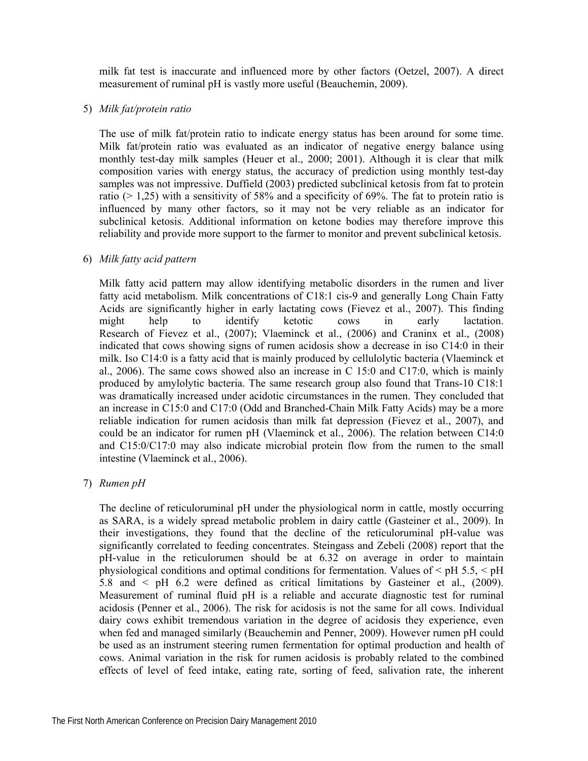milk fat test is inaccurate and influenced more by other factors (Oetzel, 2007). A direct measurement of ruminal pH is vastly more useful (Beauchemin, 2009).

# 5) *Milk fat/protein ratio*

The use of milk fat/protein ratio to indicate energy status has been around for some time. Milk fat/protein ratio was evaluated as an indicator of negative energy balance using monthly test-day milk samples (Heuer et al., 2000; 2001). Although it is clear that milk composition varies with energy status, the accuracy of prediction using monthly test-day samples was not impressive. Duffield (2003) predicted subclinical ketosis from fat to protein ratio ( $> 1,25$ ) with a sensitivity of 58% and a specificity of 69%. The fat to protein ratio is influenced by many other factors, so it may not be very reliable as an indicator for subclinical ketosis. Additional information on ketone bodies may therefore improve this reliability and provide more support to the farmer to monitor and prevent subclinical ketosis.

# 6) *Milk fatty acid pattern*

Milk fatty acid pattern may allow identifying metabolic disorders in the rumen and liver fatty acid metabolism. Milk concentrations of C18:1 cis-9 and generally Long Chain Fatty Acids are significantly higher in early lactating cows (Fievez et al., 2007). This finding might help to identify ketotic cows in early lactation. Research of Fievez et al., (2007); Vlaeminck et al., (2006) and Craninx et al., (2008) indicated that cows showing signs of rumen acidosis show a decrease in iso C14:0 in their milk. Iso C14:0 is a fatty acid that is mainly produced by cellulolytic bacteria (Vlaeminck et al., 2006). The same cows showed also an increase in C 15:0 and C17:0, which is mainly produced by amylolytic bacteria. The same research group also found that Trans-10 C18:1 was dramatically increased under acidotic circumstances in the rumen. They concluded that an increase in C15:0 and C17:0 (Odd and Branched-Chain Milk Fatty Acids) may be a more reliable indication for rumen acidosis than milk fat depression (Fievez et al., 2007), and could be an indicator for rumen pH (Vlaeminck et al., 2006). The relation between C14:0 and C15:0/C17:0 may also indicate microbial protein flow from the rumen to the small intestine (Vlaeminck et al., 2006).

# 7) *Rumen pH*

The decline of reticuloruminal pH under the physiological norm in cattle, mostly occurring as SARA, is a widely spread metabolic problem in dairy cattle (Gasteiner et al., 2009). In their investigations, they found that the decline of the reticuloruminal pH-value was significantly correlated to feeding concentrates. Steingass and Zebeli (2008) report that the pH-value in the reticulorumen should be at 6.32 on average in order to maintain physiological conditions and optimal conditions for fermentation. Values of < pH 5.5, < pH 5.8 and < pH 6.2 were defined as critical limitations by Gasteiner et al., (2009). Measurement of ruminal fluid pH is a reliable and accurate diagnostic test for ruminal acidosis (Penner et al., 2006). The risk for acidosis is not the same for all cows. Individual dairy cows exhibit tremendous variation in the degree of acidosis they experience, even when fed and managed similarly (Beauchemin and Penner, 2009). However rumen pH could be used as an instrument steering rumen fermentation for optimal production and health of cows. Animal variation in the risk for rumen acidosis is probably related to the combined effects of level of feed intake, eating rate, sorting of feed, salivation rate, the inherent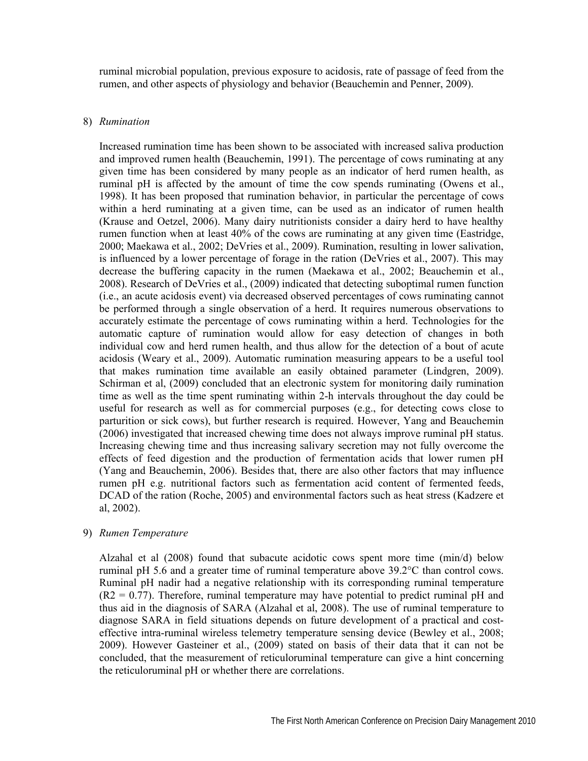ruminal microbial population, previous exposure to acidosis, rate of passage of feed from the rumen, and other aspects of physiology and behavior (Beauchemin and Penner, 2009).

### 8) *Rumination*

Increased rumination time has been shown to be associated with increased saliva production and improved rumen health (Beauchemin, 1991). The percentage of cows ruminating at any given time has been considered by many people as an indicator of herd rumen health, as ruminal pH is affected by the amount of time the cow spends ruminating (Owens et al., 1998). It has been proposed that rumination behavior, in particular the percentage of cows within a herd ruminating at a given time, can be used as an indicator of rumen health (Krause and Oetzel, 2006). Many dairy nutritionists consider a dairy herd to have healthy rumen function when at least 40% of the cows are ruminating at any given time (Eastridge, 2000; Maekawa et al., 2002; DeVries et al., 2009). Rumination, resulting in lower salivation, is influenced by a lower percentage of forage in the ration (DeVries et al., 2007). This may decrease the buffering capacity in the rumen (Maekawa et al., 2002; Beauchemin et al., 2008). Research of DeVries et al., (2009) indicated that detecting suboptimal rumen function (i.e., an acute acidosis event) via decreased observed percentages of cows ruminating cannot be performed through a single observation of a herd. It requires numerous observations to accurately estimate the percentage of cows ruminating within a herd. Technologies for the automatic capture of rumination would allow for easy detection of changes in both individual cow and herd rumen health, and thus allow for the detection of a bout of acute acidosis (Weary et al., 2009). Automatic rumination measuring appears to be a useful tool that makes rumination time available an easily obtained parameter (Lindgren, 2009). Schirman et al, (2009) concluded that an electronic system for monitoring daily rumination time as well as the time spent ruminating within 2-h intervals throughout the day could be useful for research as well as for commercial purposes (e.g., for detecting cows close to parturition or sick cows), but further research is required. However, Yang and Beauchemin (2006) investigated that increased chewing time does not always improve ruminal pH status. Increasing chewing time and thus increasing salivary secretion may not fully overcome the effects of feed digestion and the production of fermentation acids that lower rumen pH (Yang and Beauchemin, 2006). Besides that, there are also other factors that may influence rumen pH e.g. nutritional factors such as fermentation acid content of fermented feeds, DCAD of the ration (Roche, 2005) and environmental factors such as heat stress (Kadzere et al, 2002).

### 9) *Rumen Temperature*

Alzahal et al (2008) found that subacute acidotic cows spent more time (min/d) below ruminal pH 5.6 and a greater time of ruminal temperature above 39.2°C than control cows. Ruminal pH nadir had a negative relationship with its corresponding ruminal temperature  $(R2 = 0.77)$ . Therefore, ruminal temperature may have potential to predict ruminal pH and thus aid in the diagnosis of SARA (Alzahal et al, 2008). The use of ruminal temperature to diagnose SARA in field situations depends on future development of a practical and costeffective intra-ruminal wireless telemetry temperature sensing device (Bewley et al., 2008; 2009). However Gasteiner et al., (2009) stated on basis of their data that it can not be concluded, that the measurement of reticuloruminal temperature can give a hint concerning the reticuloruminal pH or whether there are correlations.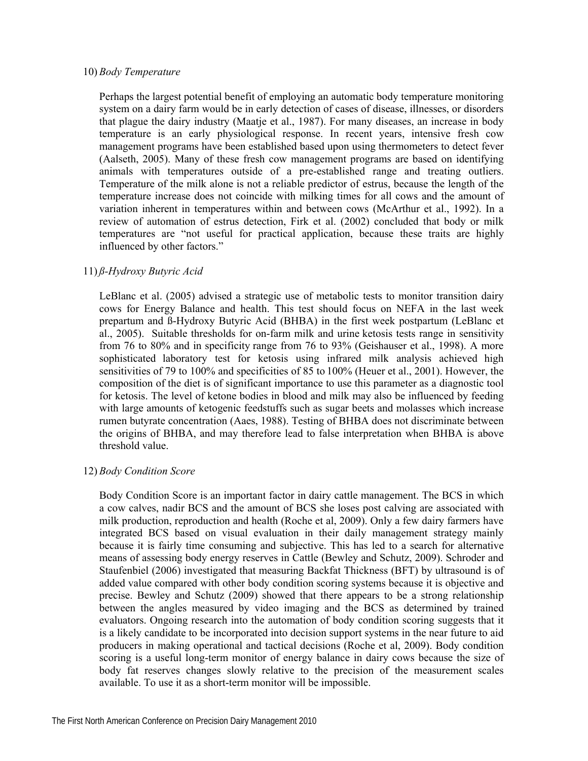## 10) *Body Temperature*

Perhaps the largest potential benefit of employing an automatic body temperature monitoring system on a dairy farm would be in early detection of cases of disease, illnesses, or disorders that plague the dairy industry (Maatje et al., 1987). For many diseases, an increase in body temperature is an early physiological response. In recent years, intensive fresh cow management programs have been established based upon using thermometers to detect fever (Aalseth, 2005). Many of these fresh cow management programs are based on identifying animals with temperatures outside of a pre-established range and treating outliers. Temperature of the milk alone is not a reliable predictor of estrus, because the length of the temperature increase does not coincide with milking times for all cows and the amount of variation inherent in temperatures within and between cows (McArthur et al., 1992). In a review of automation of estrus detection, Firk et al. (2002) concluded that body or milk temperatures are "not useful for practical application, because these traits are highly influenced by other factors."

# 11) *ß-Hydroxy Butyric Acid*

LeBlanc et al. (2005) advised a strategic use of metabolic tests to monitor transition dairy cows for Energy Balance and health. This test should focus on NEFA in the last week prepartum and ß-Hydroxy Butyric Acid (BHBA) in the first week postpartum (LeBlanc et al., 2005). Suitable thresholds for on-farm milk and urine ketosis tests range in sensitivity from 76 to 80% and in specificity range from 76 to 93% (Geishauser et al., 1998). A more sophisticated laboratory test for ketosis using infrared milk analysis achieved high sensitivities of 79 to 100% and specificities of 85 to 100% (Heuer et al., 2001). However, the composition of the diet is of significant importance to use this parameter as a diagnostic tool for ketosis. The level of ketone bodies in blood and milk may also be influenced by feeding with large amounts of ketogenic feedstuffs such as sugar beets and molasses which increase rumen butyrate concentration (Aaes, 1988). Testing of BHBA does not discriminate between the origins of BHBA, and may therefore lead to false interpretation when BHBA is above threshold value.

# 12) *Body Condition Score*

Body Condition Score is an important factor in dairy cattle management. The BCS in which a cow calves, nadir BCS and the amount of BCS she loses post calving are associated with milk production, reproduction and health (Roche et al, 2009). Only a few dairy farmers have integrated BCS based on visual evaluation in their daily management strategy mainly because it is fairly time consuming and subjective. This has led to a search for alternative means of assessing body energy reserves in Cattle (Bewley and Schutz, 2009). Schroder and Staufenbiel (2006) investigated that measuring Backfat Thickness (BFT) by ultrasound is of added value compared with other body condition scoring systems because it is objective and precise. Bewley and Schutz (2009) showed that there appears to be a strong relationship between the angles measured by video imaging and the BCS as determined by trained evaluators. Ongoing research into the automation of body condition scoring suggests that it is a likely candidate to be incorporated into decision support systems in the near future to aid producers in making operational and tactical decisions (Roche et al, 2009). Body condition scoring is a useful long-term monitor of energy balance in dairy cows because the size of body fat reserves changes slowly relative to the precision of the measurement scales available. To use it as a short-term monitor will be impossible.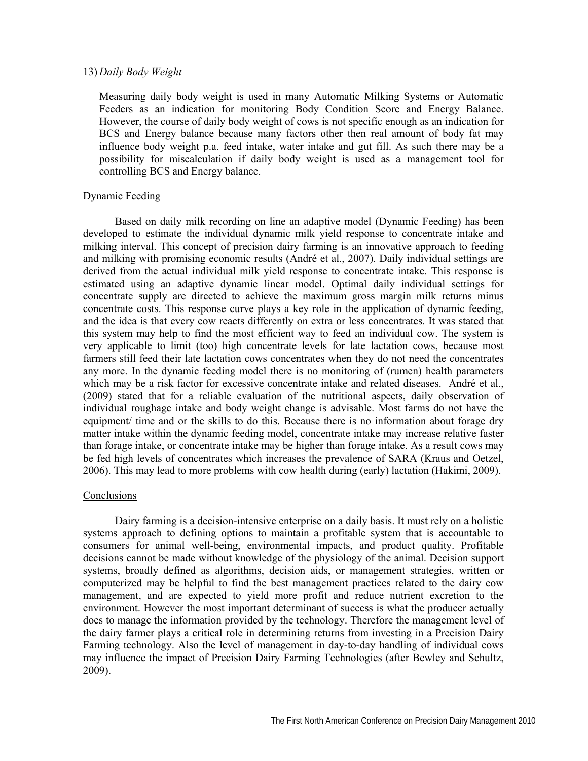### 13) *Daily Body Weight*

Measuring daily body weight is used in many Automatic Milking Systems or Automatic Feeders as an indication for monitoring Body Condition Score and Energy Balance. However, the course of daily body weight of cows is not specific enough as an indication for BCS and Energy balance because many factors other then real amount of body fat may influence body weight p.a. feed intake, water intake and gut fill. As such there may be a possibility for miscalculation if daily body weight is used as a management tool for controlling BCS and Energy balance.

### Dynamic Feeding

Based on daily milk recording on line an adaptive model (Dynamic Feeding) has been developed to estimate the individual dynamic milk yield response to concentrate intake and milking interval. This concept of precision dairy farming is an innovative approach to feeding and milking with promising economic results (André et al., 2007). Daily individual settings are derived from the actual individual milk yield response to concentrate intake. This response is estimated using an adaptive dynamic linear model. Optimal daily individual settings for concentrate supply are directed to achieve the maximum gross margin milk returns minus concentrate costs. This response curve plays a key role in the application of dynamic feeding, and the idea is that every cow reacts differently on extra or less concentrates. It was stated that this system may help to find the most efficient way to feed an individual cow. The system is very applicable to limit (too) high concentrate levels for late lactation cows, because most farmers still feed their late lactation cows concentrates when they do not need the concentrates any more. In the dynamic feeding model there is no monitoring of (rumen) health parameters which may be a risk factor for excessive concentrate intake and related diseases. André et al., (2009) stated that for a reliable evaluation of the nutritional aspects, daily observation of individual roughage intake and body weight change is advisable. Most farms do not have the equipment/ time and or the skills to do this. Because there is no information about forage dry matter intake within the dynamic feeding model, concentrate intake may increase relative faster than forage intake, or concentrate intake may be higher than forage intake. As a result cows may be fed high levels of concentrates which increases the prevalence of SARA (Kraus and Oetzel, 2006). This may lead to more problems with cow health during (early) lactation (Hakimi, 2009).

### Conclusions

Dairy farming is a decision-intensive enterprise on a daily basis. It must rely on a holistic systems approach to defining options to maintain a profitable system that is accountable to consumers for animal well-being, environmental impacts, and product quality. Profitable decisions cannot be made without knowledge of the physiology of the animal. Decision support systems, broadly defined as algorithms, decision aids, or management strategies, written or computerized may be helpful to find the best management practices related to the dairy cow management, and are expected to yield more profit and reduce nutrient excretion to the environment. However the most important determinant of success is what the producer actually does to manage the information provided by the technology. Therefore the management level of the dairy farmer plays a critical role in determining returns from investing in a Precision Dairy Farming technology. Also the level of management in day-to-day handling of individual cows may influence the impact of Precision Dairy Farming Technologies (after Bewley and Schultz, 2009).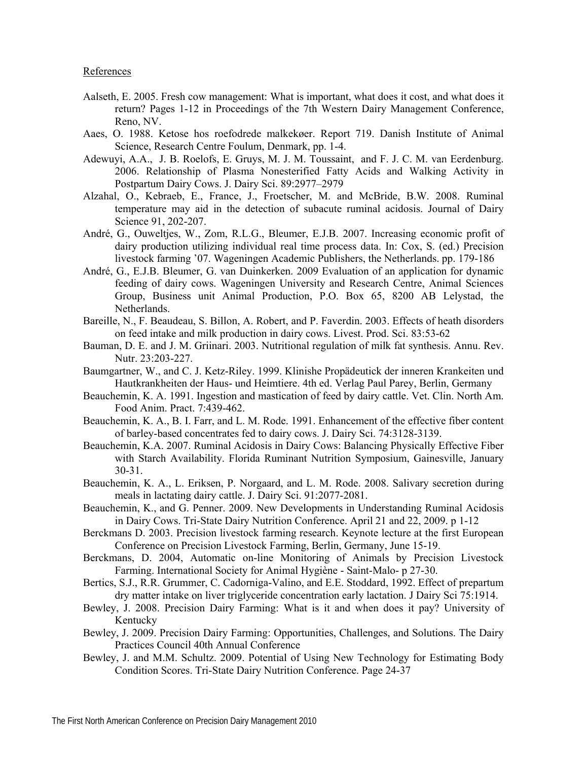- Aalseth, E. 2005. Fresh cow management: What is important, what does it cost, and what does it return? Pages 1-12 in Proceedings of the 7th Western Dairy Management Conference, Reno, NV.
- Aaes, O. 1988. Ketose hos roefodrede malkekøer. Report 719. Danish Institute of Animal Science, Research Centre Foulum, Denmark, pp. 1-4.
- Adewuyi, A.A., J. B. Roelofs, E. Gruys, M. J. M. Toussaint, and F. J. C. M. van Eerdenburg. 2006. Relationship of Plasma Nonesterified Fatty Acids and Walking Activity in Postpartum Dairy Cows. J. Dairy Sci. 89:2977–2979
- Alzahal, O., Kebraeb, E., France, J., Froetscher, M. and McBride, B.W. 2008. Ruminal temperature may aid in the detection of subacute ruminal acidosis. Journal of Dairy Science 91, 202-207.
- André, G., Ouweltjes, W., Zom, R.L.G., Bleumer, E.J.B. 2007. Increasing economic profit of dairy production utilizing individual real time process data. In: Cox, S. (ed.) Precision livestock farming '07. Wageningen Academic Publishers, the Netherlands. pp. 179-186
- André, G., E.J.B. Bleumer, G. van Duinkerken. 2009 Evaluation of an application for dynamic feeding of dairy cows. Wageningen University and Research Centre, Animal Sciences Group, Business unit Animal Production, P.O. Box 65, 8200 AB Lelystad, the Netherlands.
- Bareille, N., F. Beaudeau, S. Billon, A. Robert, and P. Faverdin. 2003. Effects of heath disorders on feed intake and milk production in dairy cows. Livest. Prod. Sci. 83:53-62
- Bauman, D. E. and J. M. Griinari. 2003. Nutritional regulation of milk fat synthesis. Annu. Rev. Nutr. 23:203-227.
- Baumgartner, W., and C. J. Ketz-Riley. 1999. Klinishe Propädeutick der inneren Krankeiten und Hautkrankheiten der Haus- und Heimtiere. 4th ed. Verlag Paul Parey, Berlin, Germany
- Beauchemin, K. A. 1991. Ingestion and mastication of feed by dairy cattle. Vet. Clin. North Am. Food Anim. Pract. 7:439-462.
- Beauchemin, K. A., B. I. Farr, and L. M. Rode. 1991. Enhancement of the effective fiber content of barley-based concentrates fed to dairy cows. J. Dairy Sci. 74:3128-3139.
- Beauchemin, K.A. 2007. Ruminal Acidosis in Dairy Cows: Balancing Physically Effective Fiber with Starch Availability. Florida Ruminant Nutrition Symposium, Gainesville, January 30-31.
- Beauchemin, K. A., L. Eriksen, P. Norgaard, and L. M. Rode. 2008. Salivary secretion during meals in lactating dairy cattle. J. Dairy Sci. 91:2077-2081.
- Beauchemin, K., and G. Penner. 2009. New Developments in Understanding Ruminal Acidosis in Dairy Cows. Tri-State Dairy Nutrition Conference. April 21 and 22, 2009. p 1-12
- Berckmans D. 2003. Precision livestock farming research. Keynote lecture at the first European Conference on Precision Livestock Farming, Berlin, Germany, June 15-19.
- Berckmans, D. 2004, Automatic on-line Monitoring of Animals by Precision Livestock Farming. International Society for Animal Hygiène - Saint-Malo- p 27-30.
- Bertics, S.J., R.R. Grummer, C. Cadorniga-Valino, and E.E. Stoddard, 1992. Effect of prepartum dry matter intake on liver triglyceride concentration early lactation. J Dairy Sci 75:1914.
- Bewley, J. 2008. Precision Dairy Farming: What is it and when does it pay? University of Kentucky
- Bewley, J. 2009. Precision Dairy Farming: Opportunities, Challenges, and Solutions. The Dairy Practices Council 40th Annual Conference
- Bewley, J. and M.M. Schultz. 2009. Potential of Using New Technology for Estimating Body Condition Scores. Tri-State Dairy Nutrition Conference. Page 24-37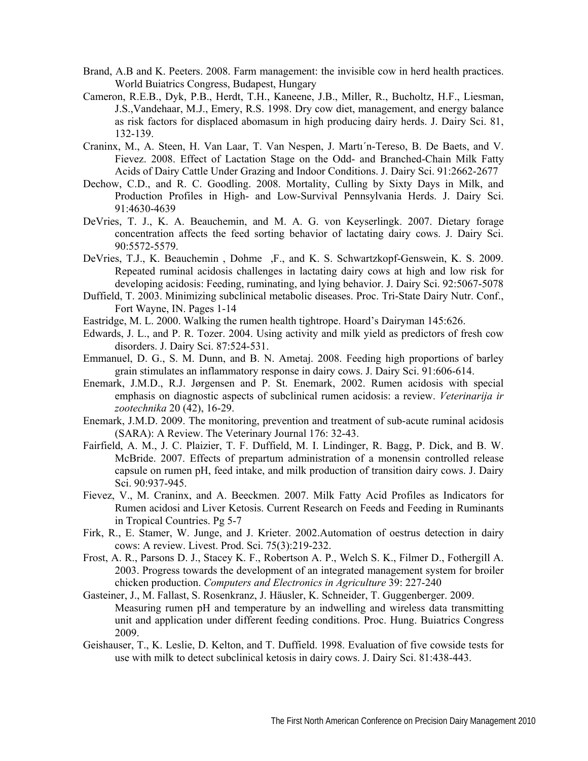- Brand, A.B and K. Peeters. 2008. Farm management: the invisible cow in herd health practices. World Buiatrics Congress, Budapest, Hungary
- Cameron, R.E.B., Dyk, P.B., Herdt, T.H., Kaneene, J.B., Miller, R., Bucholtz, H.F., Liesman, J.S.,Vandehaar, M.J., Emery, R.S. 1998. Dry cow diet, management, and energy balance as risk factors for displaced abomasum in high producing dairy herds. J. Dairy Sci. 81, 132-139.
- Craninx, M., A. Steen, H. Van Laar, T. Van Nespen, J. Martı´n-Tereso, B. De Baets, and V. Fievez. 2008. Effect of Lactation Stage on the Odd- and Branched-Chain Milk Fatty Acids of Dairy Cattle Under Grazing and Indoor Conditions. J. Dairy Sci. 91:2662-2677
- Dechow, C.D., and R. C. Goodling. 2008. Mortality, Culling by Sixty Days in Milk, and Production Profiles in High- and Low-Survival Pennsylvania Herds. J. Dairy Sci. 91:4630-4639
- DeVries, T. J., K. A. Beauchemin, and M. A. G. von Keyserlingk. 2007. Dietary forage concentration affects the feed sorting behavior of lactating dairy cows. J. Dairy Sci. 90:5572-5579.
- DeVries, T.J., K. Beauchemin , Dohme ,F., and K. S. Schwartzkopf-Genswein, K. S. 2009. Repeated ruminal acidosis challenges in lactating dairy cows at high and low risk for developing acidosis: Feeding, ruminating, and lying behavior. J. Dairy Sci. 92:5067-5078
- Duffield, T. 2003. Minimizing subclinical metabolic diseases. Proc. Tri-State Dairy Nutr. Conf., Fort Wayne, IN. Pages 1-14
- Eastridge, M. L. 2000. Walking the rumen health tightrope. Hoard's Dairyman 145:626.
- Edwards, J. L., and P. R. Tozer. 2004. Using activity and milk yield as predictors of fresh cow disorders. J. Dairy Sci. 87:524-531.
- Emmanuel, D. G., S. M. Dunn, and B. N. Ametaj. 2008. Feeding high proportions of barley grain stimulates an inflammatory response in dairy cows. J. Dairy Sci. 91:606-614.
- Enemark, J.M.D., R.J. Jørgensen and P. St. Enemark, 2002. Rumen acidosis with special emphasis on diagnostic aspects of subclinical rumen acidosis: a review. *Veterinarija ir zootechnika* 20 (42), 16-29.
- Enemark, J.M.D. 2009. The monitoring, prevention and treatment of sub-acute ruminal acidosis (SARA): A Review. The Veterinary Journal 176: 32-43.
- Fairfield, A. M., J. C. Plaizier, T. F. Duffield, M. I. Lindinger, R. Bagg, P. Dick, and B. W. McBride. 2007. Effects of prepartum administration of a monensin controlled release capsule on rumen pH, feed intake, and milk production of transition dairy cows. J. Dairy Sci. 90:937-945.
- Fievez, V., M. Craninx, and A. Beeckmen. 2007. Milk Fatty Acid Profiles as Indicators for Rumen acidosi and Liver Ketosis. Current Research on Feeds and Feeding in Ruminants in Tropical Countries. Pg 5-7
- Firk, R., E. Stamer, W. Junge, and J. Krieter. 2002.Automation of oestrus detection in dairy cows: A review. Livest. Prod. Sci. 75(3):219-232.
- Frost, A. R., Parsons D. J., Stacey K. F., Robertson A. P., Welch S. K., Filmer D., Fothergill A. 2003. Progress towards the development of an integrated management system for broiler chicken production. *Computers and Electronics in Agriculture* 39: 227-240
- Gasteiner, J., M. Fallast, S. Rosenkranz, J. Häusler, K. Schneider, T. Guggenberger. 2009. Measuring rumen pH and temperature by an indwelling and wireless data transmitting unit and application under different feeding conditions. Proc. Hung. Buiatrics Congress 2009.
- Geishauser, T., K. Leslie, D. Kelton, and T. Duffield. 1998. Evaluation of five cowside tests for use with milk to detect subclinical ketosis in dairy cows. J. Dairy Sci. 81:438-443.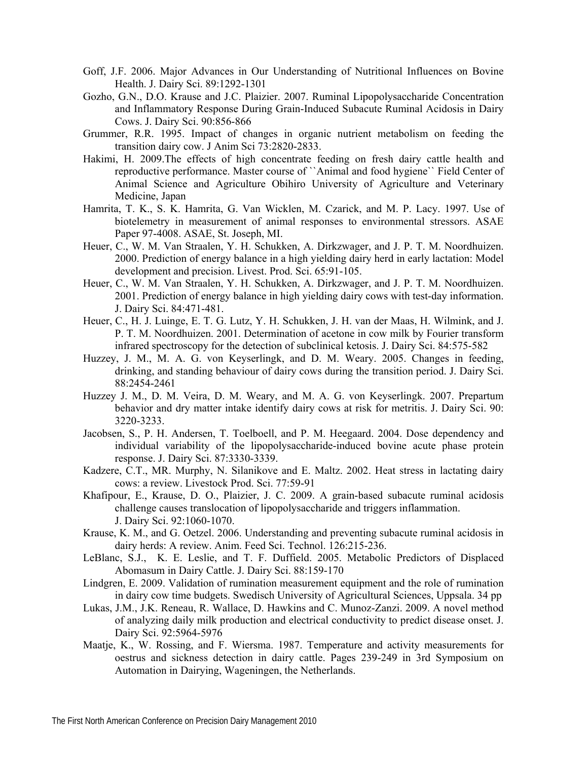- Goff, J.F. 2006. Major Advances in Our Understanding of Nutritional Influences on Bovine Health. J. Dairy Sci. 89:1292-1301
- Gozho, G.N., D.O. Krause and J.C. Plaizier. 2007. Ruminal Lipopolysaccharide Concentration and Inflammatory Response During Grain-Induced Subacute Ruminal Acidosis in Dairy Cows. J. Dairy Sci. 90:856-866
- Grummer, R.R. 1995. Impact of changes in organic nutrient metabolism on feeding the transition dairy cow. J Anim Sci 73:2820-2833.
- Hakimi, H. 2009.The effects of high concentrate feeding on fresh dairy cattle health and reproductive performance. Master course of ``Animal and food hygiene`` Field Center of Animal Science and Agriculture Obihiro University of Agriculture and Veterinary Medicine, Japan
- Hamrita, T. K., S. K. Hamrita, G. Van Wicklen, M. Czarick, and M. P. Lacy. 1997. Use of biotelemetry in measurement of animal responses to environmental stressors. ASAE Paper 97-4008. ASAE, St. Joseph, MI.
- Heuer, C., W. M. Van Straalen, Y. H. Schukken, A. Dirkzwager, and J. P. T. M. Noordhuizen. 2000. Prediction of energy balance in a high yielding dairy herd in early lactation: Model development and precision. Livest. Prod. Sci. 65:91-105.
- Heuer, C., W. M. Van Straalen, Y. H. Schukken, A. Dirkzwager, and J. P. T. M. Noordhuizen. 2001. Prediction of energy balance in high yielding dairy cows with test-day information. J. Dairy Sci. 84:471-481.
- Heuer, C., H. J. Luinge, E. T. G. Lutz, Y. H. Schukken, J. H. van der Maas, H. Wilmink, and J. P. T. M. Noordhuizen. 2001. Determination of acetone in cow milk by Fourier transform infrared spectroscopy for the detection of subclinical ketosis. J. Dairy Sci. 84:575-582
- Huzzey, J. M., M. A. G. von Keyserlingk, and D. M. Weary. 2005. Changes in feeding, drinking, and standing behaviour of dairy cows during the transition period. J. Dairy Sci. 88:2454-2461
- Huzzey J. M., D. M. Veira, D. M. Weary, and M. A. G. von Keyserlingk. 2007. Prepartum behavior and dry matter intake identify dairy cows at risk for metritis. J. Dairy Sci. 90: 3220-3233.
- Jacobsen, S., P. H. Andersen, T. Toelboell, and P. M. Heegaard. 2004. Dose dependency and individual variability of the lipopolysaccharide-induced bovine acute phase protein response. J. Dairy Sci. 87:3330-3339.
- Kadzere, C.T., MR. Murphy, N. Silanikove and E. Maltz. 2002. Heat stress in lactating dairy cows: a review. Livestock Prod. Sci. 77:59-91
- Khafipour, E., Krause, D. O., Plaizier, J. C. 2009. A grain-based subacute ruminal acidosis challenge causes translocation of lipopolysaccharide and triggers inflammation. J. Dairy Sci. 92:1060-1070.
- Krause, K. M., and G. Oetzel. 2006. Understanding and preventing subacute ruminal acidosis in dairy herds: A review. Anim. Feed Sci. Technol. 126:215-236.
- LeBlanc, S.J., K. E. Leslie, and T. F. Duffield. 2005. Metabolic Predictors of Displaced Abomasum in Dairy Cattle. J. Dairy Sci. 88:159-170
- Lindgren, E. 2009. Validation of rumination measurement equipment and the role of rumination in dairy cow time budgets. Swedisch University of Agricultural Sciences, Uppsala. 34 pp
- Lukas, J.M., J.K. Reneau, R. Wallace, D. Hawkins and C. Munoz-Zanzi. 2009. A novel method of analyzing daily milk production and electrical conductivity to predict disease onset. J. Dairy Sci. 92:5964-5976
- Maatje, K., W. Rossing, and F. Wiersma. 1987. Temperature and activity measurements for oestrus and sickness detection in dairy cattle. Pages 239-249 in 3rd Symposium on Automation in Dairying, Wageningen, the Netherlands.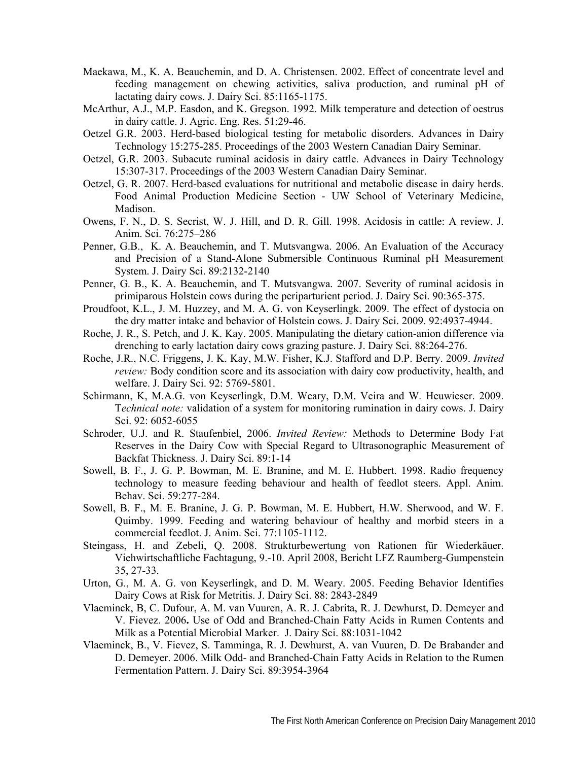- Maekawa, M., K. A. Beauchemin, and D. A. Christensen. 2002. Effect of concentrate level and feeding management on chewing activities, saliva production, and ruminal pH of lactating dairy cows. J. Dairy Sci. 85:1165-1175.
- McArthur, A.J., M.P. Easdon, and K. Gregson. 1992. Milk temperature and detection of oestrus in dairy cattle. J. Agric. Eng. Res. 51:29-46.
- Oetzel G.R. 2003. Herd-based biological testing for metabolic disorders. Advances in Dairy Technology 15:275-285. Proceedings of the 2003 Western Canadian Dairy Seminar.
- Oetzel, G.R. 2003. Subacute ruminal acidosis in dairy cattle. Advances in Dairy Technology 15:307-317. Proceedings of the 2003 Western Canadian Dairy Seminar.
- Oetzel, G. R. 2007. Herd-based evaluations for nutritional and metabolic disease in dairy herds. Food Animal Production Medicine Section - UW School of Veterinary Medicine, Madison.
- Owens, F. N., D. S. Secrist, W. J. Hill, and D. R. Gill. 1998. Acidosis in cattle: A review. J. Anim. Sci. 76:275–286
- Penner, G.B., K. A. Beauchemin, and T. Mutsvangwa. 2006. An Evaluation of the Accuracy and Precision of a Stand-Alone Submersible Continuous Ruminal pH Measurement System. J. Dairy Sci. 89:2132-2140
- Penner, G. B., K. A. Beauchemin, and T. Mutsvangwa. 2007. Severity of ruminal acidosis in primiparous Holstein cows during the periparturient period. J. Dairy Sci. 90:365-375.
- Proudfoot, K.L., J. M. Huzzey, and M. A. G. von Keyserlingk. 2009. The effect of dystocia on the dry matter intake and behavior of Holstein cows. J. Dairy Sci. 2009. 92:4937-4944.
- Roche, J. R., S. Petch, and J. K. Kay. 2005. Manipulating the dietary cation-anion difference via drenching to early lactation dairy cows grazing pasture. J. Dairy Sci. 88:264-276.
- Roche, J.R., N.C. Friggens, J. K. Kay, M.W. Fisher, K.J. Stafford and D.P. Berry. 2009. *Invited review:* Body condition score and its association with dairy cow productivity, health, and welfare. J. Dairy Sci. 92: 5769-5801.
- Schirmann, K, M.A.G. von Keyserlingk, D.M. Weary, D.M. Veira and W. Heuwieser. 2009. T*echnical note:* validation of a system for monitoring rumination in dairy cows. J. Dairy Sci. 92: 6052-6055
- Schroder, U.J. and R. Staufenbiel, 2006. *Invited Review:* Methods to Determine Body Fat Reserves in the Dairy Cow with Special Regard to Ultrasonographic Measurement of Backfat Thickness. J. Dairy Sci. 89:1-14
- Sowell, B. F., J. G. P. Bowman, M. E. Branine, and M. E. Hubbert. 1998. Radio frequency technology to measure feeding behaviour and health of feedlot steers. Appl. Anim. Behav. Sci. 59:277-284.
- Sowell, B. F., M. E. Branine, J. G. P. Bowman, M. E. Hubbert, H.W. Sherwood, and W. F. Quimby. 1999. Feeding and watering behaviour of healthy and morbid steers in a commercial feedlot. J. Anim. Sci. 77:1105-1112.
- Steingass, H. and Zebeli, Q. 2008. Strukturbewertung von Rationen für Wiederkäuer. Viehwirtschaftliche Fachtagung, 9.-10. April 2008, Bericht LFZ Raumberg-Gumpenstein 35, 27-33.
- Urton, G., M. A. G. von Keyserlingk, and D. M. Weary. 2005. Feeding Behavior Identifies Dairy Cows at Risk for Metritis. J. Dairy Sci. 88: 2843-2849
- Vlaeminck, B, C. Dufour, A. M. van Vuuren, A. R. J. Cabrita, R. J. Dewhurst, D. Demeyer and V. Fievez. 2006**.** Use of Odd and Branched-Chain Fatty Acids in Rumen Contents and Milk as a Potential Microbial Marker. J. Dairy Sci. 88:1031-1042
- Vlaeminck, B., V. Fievez, S. Tamminga, R. J. Dewhurst, A. van Vuuren, D. De Brabander and D. Demeyer. 2006. Milk Odd- and Branched-Chain Fatty Acids in Relation to the Rumen Fermentation Pattern. J. Dairy Sci. 89:3954-3964